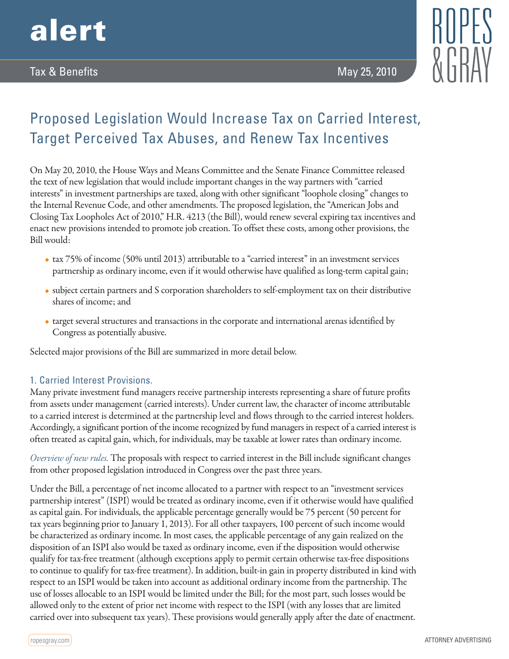

## Tax & Benefits May 25, 2010



# Proposed Legislation Would Increase Tax on Carried Interest, Target Perceived Tax Abuses, and Renew Tax Incentives

On May 20, 2010, the House Ways and Means Committee and the Senate Finance Committee released the text of new legislation that would include important changes in the way partners with "carried interests" in investment partnerships are taxed, along with other significant "loophole closing" changes to the Internal Revenue Code, and other amendments. The proposed legislation, the "American Jobs and Closing Tax Loopholes Act of 2010," H.R. 4213 (the Bill), would renew several expiring tax incentives and enact new provisions intended to promote job creation. To offset these costs, among other provisions, the Bill would:

- tax 75% of income (50% until 2013) attributable to a "carried interest" in an investment services partnership as ordinary income, even if it would otherwise have qualified as long-term capital gain;
- subject certain partners and S corporation shareholders to self-employment tax on their distributive shares of income; and
- target several structures and transactions in the corporate and international arenas identified by Congress as potentially abusive.

Selected major provisions of the Bill are summarized in more detail below.

## 1. Carried Interest Provisions.

Many private investment fund managers receive partnership interests representing a share of future profits from assets under management (carried interests). Under current law, the character of income attributable to a carried interest is determined at the partnership level and flows through to the carried interest holders. Accordingly, a significant portion of the income recognized by fund managers in respect of a carried interest is often treated as capital gain, which, for individuals, may be taxable at lower rates than ordinary income.

*Overview of new rules.* The proposals with respect to carried interest in the Bill include significant changes from other proposed legislation introduced in Congress over the past three years.

Under the Bill, a percentage of net income allocated to a partner with respect to an "investment services partnership interest" (ISPI) would be treated as ordinary income, even if it otherwise would have qualified as capital gain. For individuals, the applicable percentage generally would be 75 percent (50 percent for tax years beginning prior to January 1, 2013). For all other taxpayers, 100 percent of such income would be characterized as ordinary income. In most cases, the applicable percentage of any gain realized on the disposition of an ISPI also would be taxed as ordinary income, even if the disposition would otherwise qualify for tax-free treatment (although exceptions apply to permit certain otherwise tax-free dispositions to continue to qualify for tax-free treatment). In addition, built-in gain in property distributed in kind with respect to an ISPI would be taken into account as additional ordinary income from the partnership. The use of losses allocable to an ISPI would be limited under the Bill; for the most part, such losses would be allowed only to the extent of prior net income with respect to the ISPI (with any losses that are limited carried over into subsequent tax years). These provisions would generally apply after the date of enactment.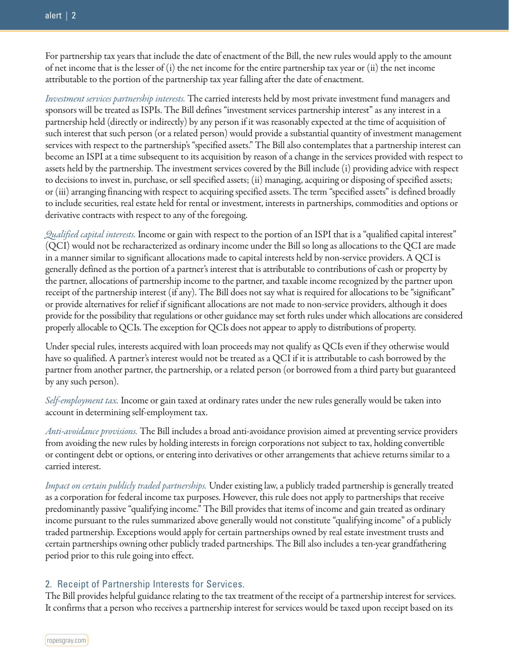For partnership tax years that include the date of enactment of the Bill, the new rules would apply to the amount of net income that is the lesser of  $(i)$  the net income for the entire partnership tax year or  $(ii)$  the net income attributable to the portion of the partnership tax year falling after the date of enactment.

*Investment services partnership interests.* The carried interests held by most private investment fund managers and sponsors will be treated as ISPIs. The Bill defines "investment services partnership interest" as any interest in a partnership held (directly or indirectly) by any person if it was reasonably expected at the time of acquisition of such interest that such person (or a related person) would provide a substantial quantity of investment management services with respect to the partnership's "specified assets." The Bill also contemplates that a partnership interest can become an ISPI at a time subsequent to its acquisition by reason of a change in the services provided with respect to assets held by the partnership. The investment services covered by the Bill include (i) providing advice with respect to decisions to invest in, purchase, or sell specified assets; (ii) managing, acquiring or disposing of specified assets; or (iii) arranging financing with respect to acquiring specified assets. The term "specified assets" is defined broadly to include securities, real estate held for rental or investment, interests in partnerships, commodities and options or derivative contracts with respect to any of the foregoing.

*Qualified capital interests.* Income or gain with respect to the portion of an ISPI that is a "qualified capital interest" (QCI) would not be recharacterized as ordinary income under the Bill so long as allocations to the QCI are made in a manner similar to significant allocations made to capital interests held by non-service providers. A QCI is generally defined as the portion of a partner's interest that is attributable to contributions of cash or property by the partner, allocations of partnership income to the partner, and taxable income recognized by the partner upon receipt of the partnership interest (if any). The Bill does not say what is required for allocations to be "significant" or provide alternatives for relief if significant allocations are not made to non-service providers, although it does provide for the possibility that regulations or other guidance may set forth rules under which allocations are considered properly allocable to QCIs. The exception for QCIs does not appear to apply to distributions of property.

Under special rules, interests acquired with loan proceeds may not qualify as QCIs even if they otherwise would have so qualified. A partner's interest would not be treated as a QCI if it is attributable to cash borrowed by the partner from another partner, the partnership, or a related person (or borrowed from a third party but guaranteed by any such person).

*Self-employment tax.* Income or gain taxed at ordinary rates under the new rules generally would be taken into account in determining self-employment tax.

*Anti-avoidance provisions.* The Bill includes a broad anti-avoidance provision aimed at preventing service providers from avoiding the new rules by holding interests in foreign corporations not subject to tax, holding convertible or contingent debt or options, or entering into derivatives or other arrangements that achieve returns similar to a carried interest.

*Impact on certain publicly traded partnerships.* Under existing law, a publicly traded partnership is generally treated as a corporation for federal income tax purposes. However, this rule does not apply to partnerships that receive predominantly passive "qualifying income." The Bill provides that items of income and gain treated as ordinary income pursuant to the rules summarized above generally would not constitute "qualifying income" of a publicly traded partnership. Exceptions would apply for certain partnerships owned by real estate investment trusts and certain partnerships owning other publicly traded partnerships. The Bill also includes a ten-year grandfathering period prior to this rule going into effect.

## 2. Receipt of Partnership Interests for Services.

The Bill provides helpful guidance relating to the tax treatment of the receipt of a partnership interest for services. It confirms that a person who receives a partnership interest for services would be taxed upon receipt based on its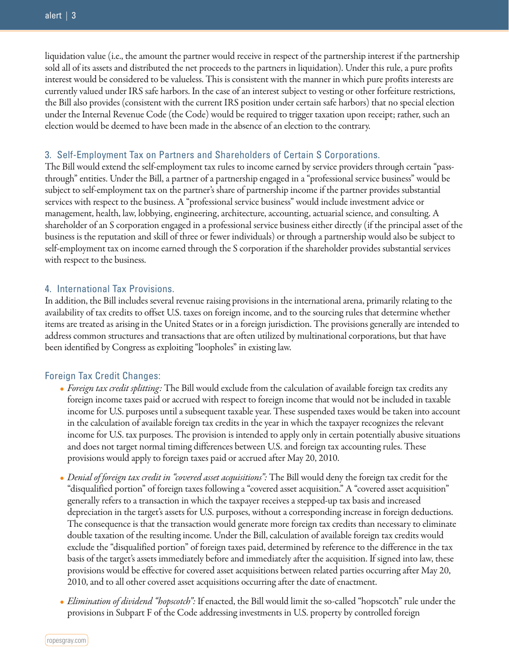liquidation value (i.e., the amount the partner would receive in respect of the partnership interest if the partnership sold all of its assets and distributed the net proceeds to the partners in liquidation). Under this rule, a pure profits interest would be considered to be valueless. This is consistent with the manner in which pure profits interests are currently valued under IRS safe harbors. In the case of an interest subject to vesting or other forfeiture restrictions, the Bill also provides (consistent with the current IRS position under certain safe harbors) that no special election under the Internal Revenue Code (the Code) would be required to trigger taxation upon receipt; rather, such an election would be deemed to have been made in the absence of an election to the contrary.

#### 3. Self-Employment Tax on Partners and Shareholders of Certain S Corporations.

The Bill would extend the self-employment tax rules to income earned by service providers through certain "passthrough" entities. Under the Bill, a partner of a partnership engaged in a "professional service business" would be subject to self-employment tax on the partner's share of partnership income if the partner provides substantial services with respect to the business. A "professional service business" would include investment advice or management, health, law, lobbying, engineering, architecture, accounting, actuarial science, and consulting. A shareholder of an S corporation engaged in a professional service business either directly (if the principal asset of the business is the reputation and skill of three or fewer individuals) or through a partnership would also be subject to self-employment tax on income earned through the S corporation if the shareholder provides substantial services with respect to the business.

#### 4. International Tax Provisions.

In addition, the Bill includes several revenue raising provisions in the international arena, primarily relating to the availability of tax credits to offset U.S. taxes on foreign income, and to the sourcing rules that determine whether items are treated as arising in the United States or in a foreign jurisdiction. The provisions generally are intended to address common structures and transactions that are often utilized by multinational corporations, but that have been identified by Congress as exploiting "loopholes" in existing law.

## Foreign Tax Credit Changes:

- *Foreign tax credit splitting:* The Bill would exclude from the calculation of available foreign tax credits any foreign income taxes paid or accrued with respect to foreign income that would not be included in taxable income for U.S. purposes until a subsequent taxable year. These suspended taxes would be taken into account in the calculation of available foreign tax credits in the year in which the taxpayer recognizes the relevant income for U.S. tax purposes. The provision is intended to apply only in certain potentially abusive situations and does not target normal timing differences between U.S. and foreign tax accounting rules. These provisions would apply to foreign taxes paid or accrued after May 20, 2010.
- *Denial of foreign tax credit in "covered asset acquisitions":* The Bill would deny the foreign tax credit for the "disqualified portion" of foreign taxes following a "covered asset acquisition." A "covered asset acquisition" generally refers to a transaction in which the taxpayer receives a stepped-up tax basis and increased depreciation in the target's assets for U.S. purposes, without a corresponding increase in foreign deductions. The consequence is that the transaction would generate more foreign tax credits than necessary to eliminate double taxation of the resulting income. Under the Bill, calculation of available foreign tax credits would exclude the "disqualified portion" of foreign taxes paid, determined by reference to the difference in the tax basis of the target's assets immediately before and immediately after the acquisition. If signed into law, these provisions would be effective for covered asset acquisitions between related parties occurring after May 20, 2010, and to all other covered asset acquisitions occurring after the date of enactment.
- *Elimination of dividend "hopscotch":* If enacted, the Bill would limit the so-called "hopscotch" rule under the provisions in Subpart F of the Code addressing investments in U.S. property by controlled foreign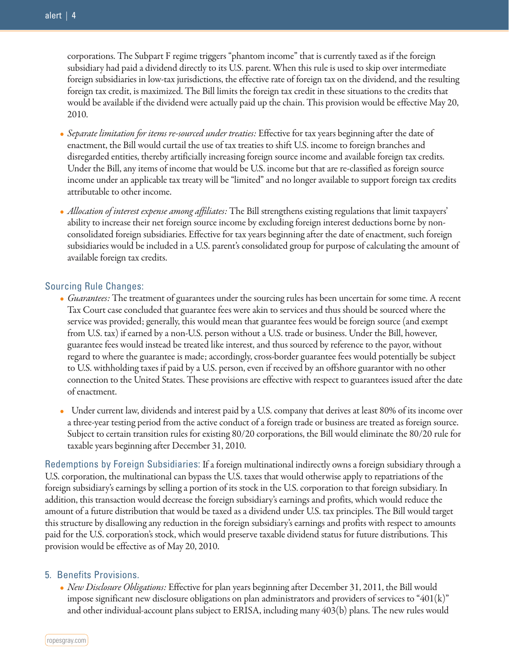corporations. The Subpart F regime triggers "phantom income" that is currently taxed as if the foreign subsidiary had paid a dividend directly to its U.S. parent. When this rule is used to skip over intermediate foreign subsidiaries in low-tax jurisdictions, the effective rate of foreign tax on the dividend, and the resulting foreign tax credit, is maximized. The Bill limits the foreign tax credit in these situations to the credits that would be available if the dividend were actually paid up the chain. This provision would be effective May 20, 2010.

- *Separate limitation for items re-sourced under treaties:* Effective for tax years beginning after the date of enactment, the Bill would curtail the use of tax treaties to shift U.S. income to foreign branches and disregarded entities, thereby artificially increasing foreign source income and available foreign tax credits. Under the Bill, any items of income that would be U.S. income but that are re-classified as foreign source income under an applicable tax treaty will be "limited" and no longer available to support foreign tax credits attributable to other income.
- *Allocation of interest expense among affiliates:* The Bill strengthens existing regulations that limit taxpayers' ability to increase their net foreign source income by excluding foreign interest deductions borne by nonconsolidated foreign subsidiaries. Effective for tax years beginning after the date of enactment, such foreign subsidiaries would be included in a U.S. parent's consolidated group for purpose of calculating the amount of available foreign tax credits.

#### Sourcing Rule Changes:

- *Guarantees:* The treatment of guarantees under the sourcing rules has been uncertain for some time. A recent Tax Court case concluded that guarantee fees were akin to services and thus should be sourced where the service was provided; generally, this would mean that guarantee fees would be foreign source (and exempt from U.S. tax) if earned by a non-U.S. person without a U.S. trade or business. Under the Bill, however, guarantee fees would instead be treated like interest, and thus sourced by reference to the payor, without regard to where the guarantee is made; accordingly, cross-border guarantee fees would potentially be subject to U.S. withholding taxes if paid by a U.S. person, even if received by an offshore guarantor with no other connection to the United States. These provisions are effective with respect to guarantees issued after the date of enactment.
- Under current law, dividends and interest paid by a U.S. company that derives at least 80% of its income over a three-year testing period from the active conduct of a foreign trade or business are treated as foreign source. Subject to certain transition rules for existing 80/20 corporations, the Bill would eliminate the 80/20 rule for taxable years beginning after December 31, 2010.

Redemptions by Foreign Subsidiaries: If a foreign multinational indirectly owns a foreign subsidiary through a U.S. corporation, the multinational can bypass the U.S. taxes that would otherwise apply to repatriations of the foreign subsidiary's earnings by selling a portion of its stock in the U.S. corporation to that foreign subsidiary. In addition, this transaction would decrease the foreign subsidiary's earnings and profits, which would reduce the amount of a future distribution that would be taxed as a dividend under U.S. tax principles. The Bill would target this structure by disallowing any reduction in the foreign subsidiary's earnings and profits with respect to amounts paid for the U.S. corporation's stock, which would preserve taxable dividend status for future distributions. This provision would be effective as of May 20, 2010.

#### 5. Benefits Provisions.

• *New Disclosure Obligations:* Effective for plan years beginning after December 31, 2011, the Bill would impose significant new disclosure obligations on plan administrators and providers of services to "401 $(k)$ " and other individual-account plans subject to ERISA, including many 403(b) plans. The new rules would